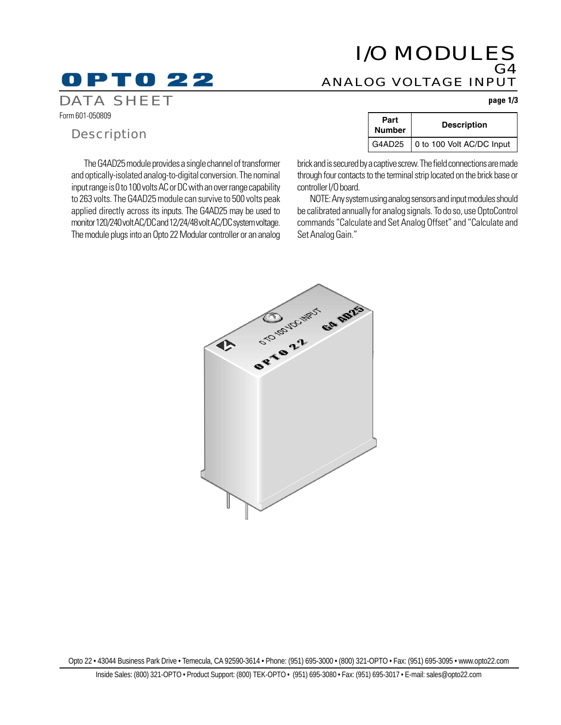## I/O MODULES G4 ANALOG VOLTAGE INPUT

#### DATA SHEET **page 1/3**

Form 601-050809

### **Description**

D PTO 22

The G4AD25 module provides a single channel of transformer and optically-isolated analog-to-digital conversion. The nominal input range is 0 to 100 volts AC or DC with an over range capability to 263 volts. The G4AD25 module can survive to 500 volts peak applied directly across its inputs. The G4AD25 may be used to monitor 120/240 volt AC/DC and 12/24/48 volt AC/DC system voltage. The module plugs into an Opto 22 Modular controller or an analog

| Part<br><b>Number</b> | <b>Description</b>        |
|-----------------------|---------------------------|
| G4AD25                | 0 to 100 Volt AC/DC Input |

brick and is secured by a captive screw. The field connections are made through four contacts to the terminal strip located on the brick base or controller I/O board.

NOTE: Any system using analog sensors and input modules should be calibrated annually for analog signals. To do so, use OptoControl commands "Calculate and Set Analog Offset" and "Calculate and Set Analog Gain."



Opto 22 • 43044 Business Park Drive • Temecula, CA 92590-3614 • Phone: (951) 695-3000 • (800) 321-OPTO • Fax: (951) 695-3095 • www.opto22.com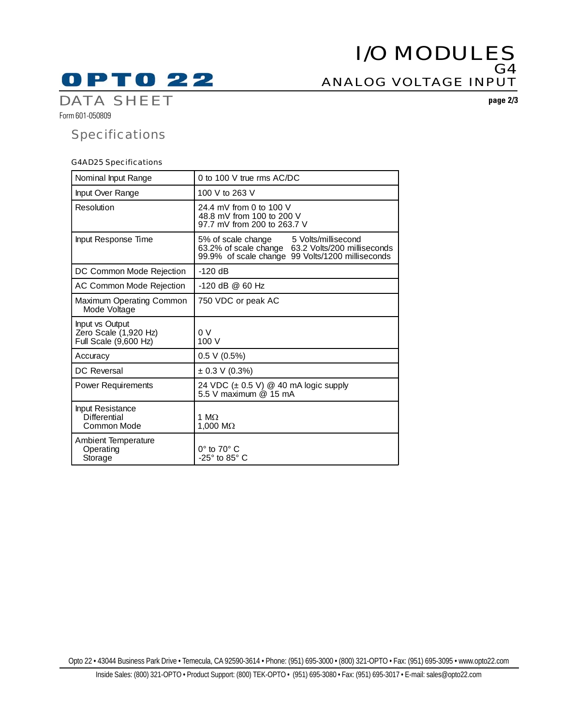# **OPTO 22**

## I/O MODULES G4 ANALOG VOLTAGE INPUT

DATA SHEET **page 2/3**

Form 601-050809

## **Specifications**

#### G4AD25 Specifications

| Nominal Input Range                                               | 0 to 100 V true rms AC/DC                                                                                                                             |
|-------------------------------------------------------------------|-------------------------------------------------------------------------------------------------------------------------------------------------------|
| Input Over Range                                                  | 100 V to 263 V                                                                                                                                        |
| Resolution                                                        | 24.4 mV from 0 to 100 V<br>48.8 mV from 100 to 200 V<br>97.7 mV from 200 to 263.7 V                                                                   |
| Input Response Time                                               | 5% of scale change<br>5 Volts/millisecond<br>63.2% of scale change 63.2 Volts/200 milliseconds<br>99.9% of scale change<br>99 Volts/1200 milliseconds |
| DC Common Mode Rejection                                          | $-120$ dB                                                                                                                                             |
| AC Common Mode Rejection                                          | $-120$ dB @ 60 Hz                                                                                                                                     |
| Maximum Operating Common<br>Mode Voltage                          | 750 VDC or peak AC                                                                                                                                    |
| Input vs Output<br>Zero Scale (1,920 Hz)<br>Full Scale (9,600 Hz) | 0 V<br>100 V                                                                                                                                          |
| Accuracy                                                          | 0.5 V (0.5%)                                                                                                                                          |
| <b>DC</b> Reversal                                                | $\pm$ 0.3 V (0.3%)                                                                                                                                    |
| <b>Power Requirements</b>                                         | 24 VDC (± 0.5 V) @ 40 mA logic supply<br>5.5 V maximum @ 15 mA                                                                                        |
| Input Resistance<br><b>Differential</b><br>Common Mode            | 1 $M\Omega$<br>1.000 $M\Omega$                                                                                                                        |
| <b>Ambient Temperature</b><br>Operating<br>Storage                | $0^\circ$ to $70^\circ$ C<br>$-25^\circ$ to 85 $^\circ$ C                                                                                             |

Opto 22 • 43044 Business Park Drive • Temecula, CA 92590-3614 • Phone: (951) 695-3000 • (800) 321-OPTO • Fax: (951) 695-3095 • www.opto22.com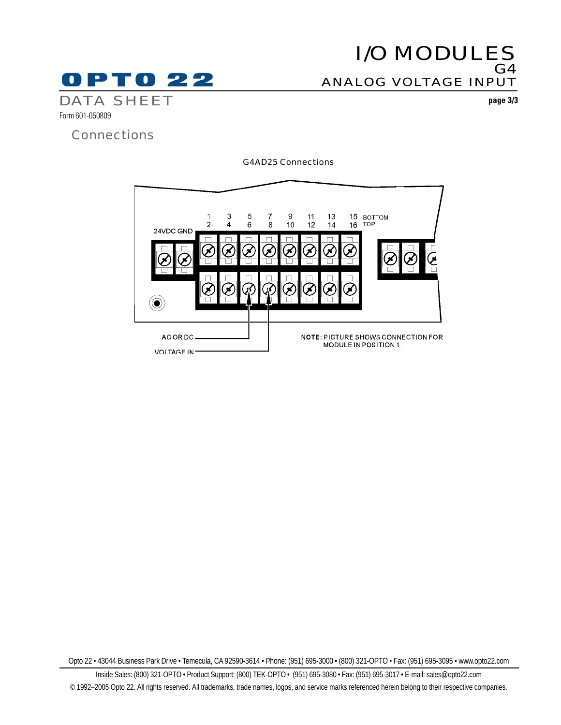

## I/O MODULES G4 ANALOG VOLTAGE INPUT

Form 601-050809

## **Connections**

G4AD25 Connections



Opto 22 • 43044 Business Park Drive • Temecula, CA 92590-3614 • Phone: (951) 695-3000 • (800) 321-OPTO • Fax: (951) 695-3095 • www.opto22.com